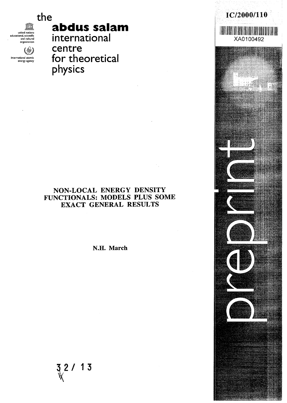the

united nations educational, scientific and cultural organization (†)

> national atomic energy agency

# **abdus salam**

international centre for theoretical physics

# NON-LOCAL ENERGY DENSITY FUNCTIONALS: MODELS PLUS SOME EXACT GENERAL RESULTS

N.H. March

 $\frac{3}{8}$  2 / 13

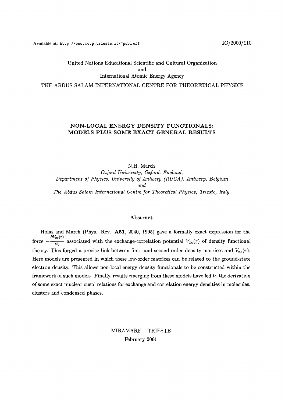Available at: http://www.ictp.trieste.it/~pub\_off  $IC/2000/110$ 

# United Nations Educational Scientific and Cultural Organization and International Atomic Energy Agency THE ABDUS SALAM INTERNATIONAL CENTRE FOR THEORETICAL PHYSICS

### **NON-LOCAL ENERGY DENSITY FUNCTIONALS: MODELS PLUS SOME EXACT GENERAL RESULTS**

N.H. March *Oxford University, Oxford, England, Department of Physics, University of Antwerp (RUCA), Antwerp, Belgium and The Abdus Salam International Centre for Theoretical Physics, Trieste, Italy.*

#### Abstract

Holas and March (Phys. Rev. **A51,** 2040, 1995) gave a formally exact expression for the force  $-\frac{\partial V_{xc}(\tau)}{\partial r}$  associated with the exchange-correlation potential  $V_{xc}(\tau)$  of density functional theory. This forged a precise link between first- and second-order density matrices and  $V_{xc}(r)$ . Here models are presented in which these low-order matrices can be related to the ground-state electron density. This allows non-local energy density functionals to be constructed within the framework of such models. Finally, results emerging from these models have led to the derivation of some exact 'nuclear cusp' relations for exchange and correlation energy densities in molecules, clusters and condensed phases.

> MIRAMARE - TRIESTE February 2001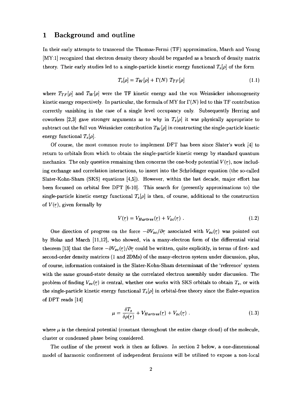### 1 Background and outline

In their early attempts to transcend the Thomas-Fermi (TF) approximation, March and Young [MY:1] recognized that electron density theory should be regarded as a branch of density matrix theory. Their early studies led to a single-particle kinetic energy functional  $T_s[\rho]$  of the form

$$
T_s[\rho] = T_W[\rho] + \Gamma(N) T_{TF}[\rho]
$$
\n(1.1)

where  $T_{TF}[\rho]$  and  $T_W[\rho]$  were the TF kinetic energy and the von Weizsäcker inhomogeneity kinetic energy respectively. In particular, the formula of MY for  $\Gamma(N)$  led to this TF contribution correctly vanishing in the case of a single level occupancy only. Subsequently Herring and coworkers [2,3] gave stronger arguments as to why in  $T_s[\rho]$  it was physically appropriate to subtract out the full von Weizsäcker contribution  $T_W[\rho]$  in constructing the single-particle kinetic energy functional  $T_s[\rho]$ .

Of course, the most common route to implement DFT has been since Slater's work [4] to return to orbitals from which to obtain the single-particle kinetic energy by standard quantum mechanics. The only question remaining then concerns the one-body potential  $V(r)$ , now including exchange and correlation interactions, to insert into the Schrodinger equation (the so-called Slater-Kohn-Sham (SKS) equations [4,5]). However, within the last decade, major effort has been focussed on orbital free DFT [6-10]. This search for (presently approximations to) the single-particle kinetic energy functional  $T_s[\rho]$  is then, of course, additional to the construction of  $V(r)$ , given formally by

$$
V(r) = V_{Hartree}(r) + V_{xc}(r) \tag{1.2}
$$

One direction of progress on the force  $-\partial V_{xc}/\partial r$  associated with  $V_{xc}(r)$  was pointed out by Holas and March [11,12], who showed, via a many-electron form of the differential virial theorem [13] that the force  $-\partial V_{xc}(r)/\partial r$  could be written, quite explicitly, in terms of first- and second-order density matrices (1 and 2DMs) of the many-electron system under discussion, plus, of course, information contained in the Slater-Kohn-Sham determinant of the 'reference' system with the same ground-state density as the correlated electron assembly under discussion. The problem of finding  $V_{xc}(r)$  is central, whether one works with SKS orbitals to obtain  $T_s$ , or with the single-particle kinetic energy functional  $T_s[\rho]$  in orbital-free theory since the Euler-equation of DFT reads [14]

$$
\mu = \frac{\delta T_s}{\delta \rho(r)} + V_{Hartree}(r) + V_{xc}(r) \tag{1.3}
$$

where  $\mu$  is the chemical potential (constant throughout the entire charge cloud) of the molecule, cluster or condensed phase being considered.

The outline of the present work is then as follows. In section 2 below, a one-dimensional model of harmonic confinement of independent fermions will be utilized to expose a non-local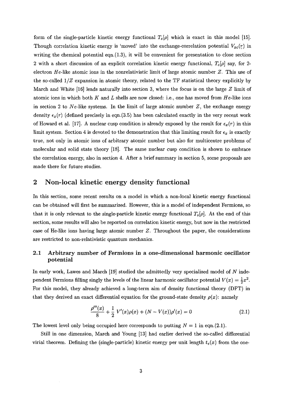form of the single-particle kinetic energy functional  $T_s[\rho]$  which is exact in this model [15]. Though correlation kinetic energy is 'moved' into the exchange-correlation potential  $V_{xc}(r)$  in writing the chemical potential eqn. $(1.3)$ , it will be convenient for presentation to close section 2 with a short discussion of an explicit correlation kinetic energy functional, *Tc[p]* say, for 2 electron *He-like* atomic ions in the nonrelativistic limit of large atomic number *Z.* This use of the so-called *1/Z* expansion in atomic theory, related to the TF statistical theory explicitly by March and White [16] leads naturally into section 3, where the focus is on the large *Z* limit of atomic ions in which both K and L shells are now closed: i.e., one has moved from He-like ions in section 2 to Ne-like systems. In the limit of large atomic number  $Z$ , the exchange energy density  $\epsilon_x(r)$  (defined precisely in eqn.(3.5) has been calculated exactly in the very recent work of Howard et al. [17]. A nuclear cusp condition is already exposed by the result for  $\epsilon_x(r)$  in this limit system. Section 4 is devoted to the demonstration that this limiting result for  $\epsilon_x$  is exactly true, not only in atomic ions of arbitrary atomic number but also for multicentre problems of molecular and solid state theory [18]. The same nuclear cusp condition is shown to embrace the correlation energy, also in section 4. After a brief summary in section 5, some proposals are made there for future studies.

### 2 Non-local kinetic energy density functional

In this section, some recent results on a model in which a non-local kinetic energy functional can be obtained will first be summarized. However, this is a model of independent Fermions, so that it is only relevant to the single-particle kinetic energy functional  $T_s[\rho]$ . At the end of this section, some results will also be reported on correlation kinetic energy, but now in the restricted case of He-like ions having large atomic number *Z.* Throughout the paper, the considerations are restricted to non-relativistic quantum mechanics.

# **2.1 Arbitrary number of Fermions in a one-dimensional harmonic oscillator potential**

In early work, Lawes and March [19] studied the admittedly very specialized model of *N* independent Fermions filling singly the levels of the linear harmonic oscillator potential  $V(x) = \frac{1}{2}x^2$ . For this model, they already achieved a long-term aim of density functional theory (DFT) in that they derived an exact differential equation for the ground-state density  $\rho(x)$ : namely

$$
\frac{\rho'''(x)}{8} + \frac{1}{2} V'(x)\rho(x) + (N - V(x))\rho'(x) = 0
$$
\n(2.1)

The lowest level only being occupied here corresponds to putting *N =* 1 in eqn.(2.1).

Still in one dimension, March and Young [13] had earlier derived the so-called differential virial theorem. Defining the (single-particle) kinetic energy per unit length  $t_s(x)$  from the one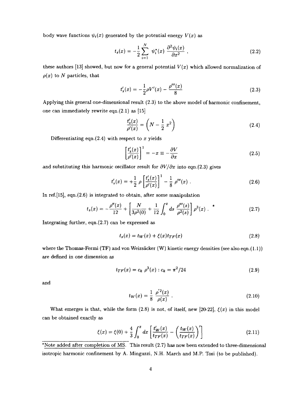body wave functions  $\psi_i(x)$  generated by the potential energy  $V(x)$  as

$$
t_s(x) = -\frac{1}{2} \sum_{i=1}^{N} \psi_i^*(x) \frac{\partial^2 \psi_i(x)}{\partial x^2} , \qquad (2.2)
$$

these authors [13] showed, but now for a general potential  $V(x)$  which allowed normalization of  $\rho(x)$  to N particles, that

$$
t'_{s}(x) = -\frac{1}{2}\rho V'(x) - \frac{\rho'''(x)}{8}
$$
\n(2.3)

Applying this general one-dimensional result (2.3) to the above model of harmonic confinement, one can immediately rewrite eqn.(2.1) as [15]

$$
\frac{t_s'(x)}{\rho'(x)} = \left(N - \frac{1}{2}x^2\right)
$$
\n
$$
(2.4)
$$

Differentiating eqn.(2.4) with respect to *x* yields

$$
\left[\frac{t_s'(x)}{\rho'(x)}\right]^1 = -x \equiv -\frac{\partial V}{\partial x} \tag{2.5}
$$

and substituting this harmonic oscillator result for  $\partial V/\partial x$  into eqn.(2.3) gives

$$
t'_{s}(x) = +\frac{1}{2} \rho \left[ \frac{t'_{s}(x)}{\rho'(x)} \right]^{1} - \frac{1}{8} \rho'''(x) . \qquad (2.6)
$$

In ref.[15], eqn.(2.6) is integrated to obtain, after some manipulation

$$
t_s(x) = -\frac{\rho''(x)}{12} + \left[\frac{N}{3\rho^2(0)} + \frac{1}{12}\int_0^x ds \frac{\rho'''(s)}{\rho^2(s)}\right] \rho^3(x) .
$$
 (2.7)

Integrating further, eqn.(2.7) can be expressed as

$$
t_s(x) = t_W(x) + \xi(x)t_{TF}(x)
$$
\n(2.8)

where the Thomas-Fermi (TF) and von Weizsäcker (W) kinetic energy densities (see also eqn.(1.1)) are defined in one dimension as

$$
t_{TF}(x) = c_k \ \rho^3(x) : c_k = \pi^2/24 \tag{2.9}
$$

and

$$
t_W(x) = \frac{1}{8} \frac{\rho'^2(x)}{\rho(x)} \ . \tag{2.10}
$$

What emerges is that, while the form (2.8) is not, of itself, new [20-22],  $\xi(x)$  in this model can be obtained exactly as

$$
\xi(x) = \xi(0) + \frac{4}{3} \int_0^x dx \left[ \frac{t'_W(x)}{t_{TF}(x)} - \left( \frac{t_W(x)}{t_{TF}(x)} \right)' \right]
$$
(2.11)

\*Note added after completion of MS. This result (2.7) has now been extended to three-dimensional isotropic harmonic confinement by A. Minguzzi, N.H. March and M.P. Tosi (to be published).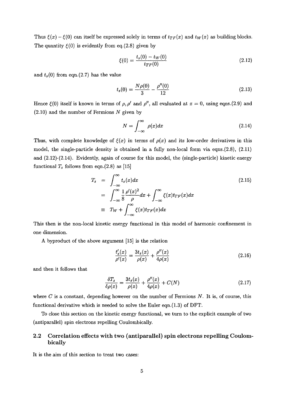Thus  $\xi(x) - \xi(0)$  can itself be expressed solely in terms of  $t_{TF}(x)$  and  $t_W(x)$  as building blocks. The quantity  $\xi(0)$  is evidently from eq.(2.8) given by

$$
\xi(0) = \frac{t_s(0) - t_W(0)}{t_{TF}(0)}\tag{2.12}
$$

and  $t_s(0)$  from eqn.(2.7) has the value

$$
t_s(0) = \frac{N\rho(0)}{3} - \frac{\rho''(0)}{12}
$$
 (2.13)

Hence  $\xi(0)$  itself is known in terms of  $\rho$ ,  $\rho'$  and  $\rho''$ , all evaluated at  $x = 0$ , using eqns.(2.9) and (2.10) and the number of Fermions *N* given by

$$
N = \int_{-\infty}^{\infty} \rho(x) dx \tag{2.14}
$$

Thus, with complete knowledge of  $\xi(x)$  in terms of  $\rho(x)$  and its low-order derivatives in this model, the single-particle density is obtained in a fully non-local form via eqns.(2.8), (2.11) and (2.12)-(2.14). Evidently, again of course for this model, the (single-particle) kinetic energy functional  $T_s$  follows from eqn.(2.8) as [15]

$$
T_s = \int_{-\infty}^{\infty} t_s(x) dx
$$
  
= 
$$
\int_{-\infty}^{\infty} \frac{1}{8} \frac{\rho'(x)^2}{\rho} dx + \int_{-\infty}^{\infty} \xi(x) t_{TF}(x) dx
$$
  
= 
$$
T_W + \int_{-\infty}^{\infty} \xi(x) t_{TF}(x) dx
$$
 (2.15)

 $\sim$ This then is the non-local kinetic energy functional in this model of harmonic confinement in one dimension.

A byproduct of the above argument [15] is the relation

$$
\frac{t_s'(x)}{\rho'(x)} = \frac{3t_s(x)}{\rho(x)} + \frac{\rho''(x)}{4\rho(x)}\tag{2.16}
$$

and then it follows that

$$
\frac{\delta T_s}{\delta \rho(x)} = \frac{3t_s(x)}{\rho(x)} + \frac{\rho''(x)}{4\rho(x)} + C(N)
$$
\n(2.17)

where *C* is a constant, depending however on the number of Fermions *N*. It is, of course, this functional derivative which is needed to solve the Euler eqn.(1.3) of DFT.

To close this section on the kinetic energy functional, we turn to the explicit example of two (antiparallel) spin electrons repelling Coulombically.

### **2.2 Correlation effects with two (antiparallel) spin electrons repelling Coulombically**

It is the aim of this section to treat two cases: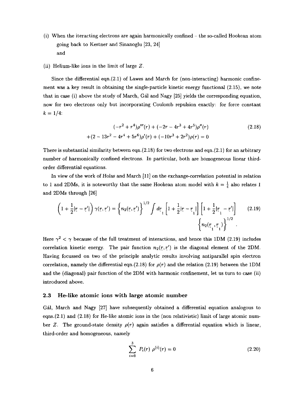(i) When the iteracting electrons are again harmonically confined - the so-called Hookean atom going back to Kestner and Sinanoglu [23, 24] and

#### (ii) Helium-like ions in the limit of large *Z.*

Since the differential eqn.(2.1) of Lawes and March for (non-interacting) harmonic confinement was a key result in obtaining the single-particle kinetic energy functional (2.15), we note that in case (i) above the study of March, Gal and Nagy [25] yields the corresponding equation, now for two electrons only but incorporating Coulomb repulsion exactly: for force constant  $k = 1/4$ :

$$
(-r^2 + r^4)\rho'''(r) + (-2r - 4r^3 + 4r^5)\rho''(r)
$$
  
+(2-13r<sup>2</sup> - 4r<sup>4</sup> + 5r<sup>6</sup>) $\rho'(r) + (-10r^3 + 2r^2)\rho(r) = 0$  (2.18)

There is substantial similarity between eqn. $(2.18)$  for two electrons and eqn. $(2.1)$  for an arbitrary number of harmonically confined electrons. In particular, both are homogeneous linear thirdorder differential equations.

In view of the work of Holas and March [11] on the exchange-correlation potential in relation to 1 and 2DMs, it is noteworthy that the same Hookean atom model with  $k = \frac{1}{4}$  also relates 1 and 2DMs through [26]

$$
\left(1+\frac{1}{2}|r-r'|\right)\gamma(r,r') = \left\{n_2(r,r')\right\}^{1/2} \int d\mathbf{r} \Big[1+\frac{1}{2}|r-r_1|\Big] \left[1+\frac{1}{2}|r_1-r'|\right] \qquad (2.19)
$$

$$
\left\{n_2(r_1,r_1)\right\}^{1/2}.
$$

Here  $\gamma^2 < \gamma$  because of the full treatment of interactions, and hence this 1DM (2.19) includes correlation kinetic energy. The pair function  $n_2(r,r')$  is the diagonal element of the 2DM. Having focussed on two of the principle analytic results involving antiparallel spin electron correlation, namely the differential eqn.(2.18) for  $\rho(r)$  and the relation (2.19) between the 1DM and the (diagonal) pair function of the 2DM with harmonic confinement, let us turn to case (ii) introduced above.

#### **2.3 He-like atomic ions with large atomic number**

Gal, March and Nagy [27] have subsequently obtained a differential equation analogous to eqns.(2.1) and (2.18) for He-like atomic ions in the (non relativistic) limit of large atomic number Z. The ground-state density  $\rho(r)$  again satisfies a differential equation which is linear, third-order and homogeneous, namely

$$
\sum_{i=0}^{3} P_i(r) \rho^{(i)}(r) = 0 \qquad (2.20)
$$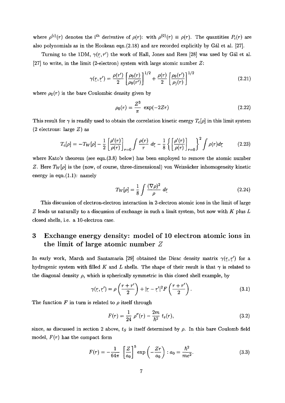where  $\rho^{(i)}(r)$  denotes the i<sup>th</sup> derivative of  $\rho(r)$ : with  $\rho^{(0)}(r) \equiv \rho(r)$ . The quantities  $P_i(r)$  are also polynomials as in the Hookean eqn.(2.18) and are recorded explicitly by Gal et al. [27].

Turning to the 1DM,  $\gamma(r,r')$  the work of Hall, Jones and Rees [28] was used by Gal et al. [27] to write, in the limit (2-electron) system with large atomic number *Z:*

$$
\gamma(r,r') = \frac{\rho(r')}{2} \left[ \frac{\rho_0(r)}{\rho_0(r')} \right]^{1/2} + \frac{\rho(r)}{2} \left[ \frac{\rho_0(r')}{\rho_0(r)} \right]^{1/2} \tag{2.21}
$$

where  $\rho_0(r)$  is the bare Coulombic density given by

$$
\rho_0(r) = \frac{Z^3}{\pi} \, \exp(-2Zr) \tag{2.22}
$$

This result for  $\gamma$  is readily used to obtain the correlation kinetic energy  $T_c[\rho]$  in this limit system (2 electrons: large *Z)* as

$$
T_c[\rho] = -T_W[\rho] - \frac{1}{2} \left[ \frac{\rho'(r)}{\rho(r)} \right]_{r=0} \int \frac{\rho(r)}{r} \, dr - \frac{1}{8} \left\{ \left[ \frac{\rho'(r)}{\rho(r)} \right]_{r=0} \right\}^2 \int \rho(r) dr \tag{2.23}
$$

where Kato's theorem (see eqn.(3.8) below) has been employed to remove the atomic number *Z.* Here  $T_W[\rho]$  is the (now, of course, three-dimensional) von Weizsäcker inhomogeneity kinetic energy in eqn. $(1.1)$ : namely

$$
T_W[\rho] = \frac{1}{8} \int \frac{(\nabla \rho)^2}{\rho} \, dr \tag{2.24}
$$

This discussion of electron-electron interaction in 2-electron atomic ions in the limit of large Z leads us naturally to a discussion of exchange in such a limit system, but now with  $K$  plus  $L$ *z* losed shells, i.e. a 10-electron case.

# 3 Exchange energy density: model of 10 electron atomic ions in the limit of large atomic number *Z*

In early work, March and Santamaria [29] obtained the Dirac density matrix  $\gamma(r,r')$  for a hydrogenic system with filled K and L shells. The shape of their result is that  $\gamma$  is related to the diagonal density  $\rho$ , which is spherically symmetric in this closed shell example, by

$$
\gamma(r, r') = \rho\left(\frac{r + r'}{2}\right) + |r - r'|^2 F\left(\frac{r + r'}{2}\right). \tag{3.1}
$$

The function  $F$  in turn is related to  $\rho$  itself through

$$
F(r) = \frac{1}{24} \rho''(r) - \frac{2m}{\hbar^2} t_s(r), \qquad (3.2)
$$

since, as discussed in section 2 above,  $t_S$  is itself determined by  $\rho$ . In this bare Coulomb field model, *F(r)* has the compact form

$$
F(r) = -\frac{1}{64\pi} \left[ \frac{Z}{a_0} \right]^5 \exp\left(-\frac{Zr}{a_0}\right) : a_0 = \frac{\hbar^2}{me^2}.
$$
 (3.3)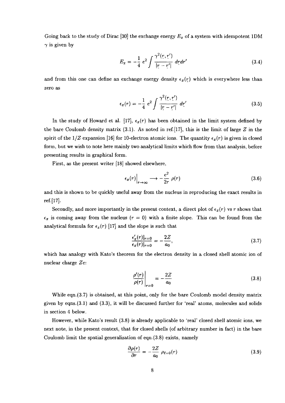Going back to the study of Dirac [30] the exchange energy *Ex* of a system with idempotent 1DM  $\gamma$  is given by

$$
E_x = -\frac{1}{4} e^2 \int \frac{\gamma^2(r, r')}{|r - r'|} dr dr' \tag{3.4}
$$

and from this one can define an exchange energy density  $\epsilon_x(r)$  which is everywhere less than zero as

$$
\epsilon_x(r) = -\frac{1}{4} e^2 \int \frac{\gamma^2(r, r')}{|r - r'|} dr' \tag{3.5}
$$

In the study of Howard et al. [17],  $\epsilon_x(r)$  has been obtained in the limit system defined by the bare Coulomb density matrix (3.1). As noted in ref.[17], this is the limit of large *Z* in the spirit of the  $1/Z$  expansion [16] for 10-electron atomic ions. The quantity  $\epsilon_x(r)$  is given in closed form, but we wish to note here mainly two analytical limits which flow from that analysis, before presenting results in graphical form.

First, as the present writer [18] showed elsewhere,

$$
\epsilon_x(r)\Big|_{r\to\infty} \longrightarrow -\frac{e^2}{2r} \rho(r) \tag{3.6}
$$

and this is shown to be quickly useful away from the nucleus in reproducing the exact results in ref.[17].

Secondly, and more importantly in the present context, a direct plot of  $\epsilon_x(r)$  vs r shows that  $\epsilon_x$  is coming away from the nucleus  $(r = 0)$  with a finite slope. This can be found from the analytical formula for  $\epsilon_x(r)$  [17] and the slope is such that

$$
\frac{\epsilon_x'(r)|_{r=0}}{\epsilon_x(r)|_{r=0}} = -\frac{2Z}{a_0},\tag{3.7}
$$

which has analogy with Kato's theorem for the electron density in a closed shell atomic ion of nuclear charge *Ze:*

$$
\left. \frac{\rho'(r)}{\rho(r)} \right|_{r=0} = -\frac{2Z}{a_0} \tag{3.8}
$$

While eqn.(3.7) is obtained, at this point, only for the bare Coulomb model density matrix given by eqns.(3.1) and (3.3), it will be discussed further for 'real' atoms, molecules and solids in section 4 below.

However, while Kato's result (3.8) is already applicable to 'real' closed shell atomic ions, we next note, in the present context, that for closed shells (of arbitrary number in fact) in the bare Coulomb limit the spatial generalization of eqn.(3.8) exists, namely

$$
\frac{\partial \rho(r)}{\partial r} = -\frac{2Z}{a_0} \rho_{\ell=0}(r) \tag{3.9}
$$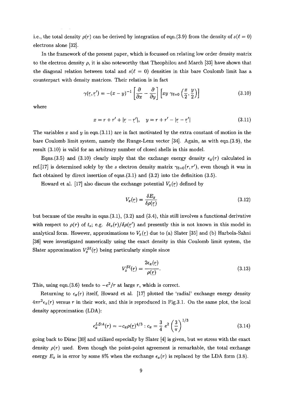i.e., the total density  $\rho(r)$  can be derived by integration of eqn.(3.9) from the density of  $s(\ell = 0)$ electrons alone [32].

In the framework of the present paper, which is focussed on relating low order density matrix to the electron density  $\rho$ , it is also noteworthy that Theophilou and March [33] have shown that the diagonal relation between total and  $s(\ell = 0)$  densities in this bare Coulomb limit has a counterpart with density matrices. Their relation is in fact

$$
\gamma(\underline{r}, \underline{r}') = -(x - y)^{-1} \left[ \frac{\partial}{\partial x} - \frac{\partial}{\partial y} \right] \left[ xy \ \gamma_{\ell=0} \left( \frac{x}{2}, \frac{y}{2} \right) \right] \tag{3.10}
$$

where

$$
x = r + r' + |r - r'|, \quad y = r + r' - |r - r'| \tag{3.11}
$$

The variables *x* and *y* in eqn.(3.11) are in fact motivated by the extra constant of motion in the bare Coulomb limit system, namely the Runge-Lenz vector [34]. Again, as with eqn.(3.9), the result (3.10) is valid for an arbitrary number of closed shells in this model.

Eqns.(3.5) and (3.10) clearly imply that the exchange energy density  $\epsilon_x(r)$  calculated in ref.[17] is determined solely by the *s* electron density matrix  $\gamma_{\ell=0}(r,r')$ , even though it was in fact obtained by direct insertion of eqns.(3.1) and (3.2) into the definition (3.5).

Howard et al. [17] also discuss the exchange potential  $V_x(r)$  defined by

$$
V_x(\underline{r}) = \frac{\delta E_x}{\delta \rho(\underline{r})} \tag{3.12}
$$

but because of the results in eqns.(3.1), (3.2) and (3.4), this still involves a functional derivative with respect to  $\rho(r)$  of  $t_s$ ; e.g.  $\delta t_s(r)/\delta \rho(r')$  and presently this is not known in this model in analytical form. However, approximations to  $V_x(r)$  due to (a) Slater [35] and (b) Harbola-Sahni [36] were investigated numerically using the exact density in this Coulomb limit system, the Slater approximation  $V_x^{S\ell}(r)$  being particularly simple since

$$
V_x^{S\ell}(r) = \frac{2\epsilon_x(r)}{\rho(r)}.\t(3.13)
$$

This, using eqn.(3.6) tends to  $-e^2/r$  at large r, which is correct.

Returning to  $\epsilon_x(r)$  itself, Howard et al. [17] plotted the 'radial' exchange energy density  $4\pi r^2 \epsilon_x(r)$  versus r in their work, and this is reproduced in Fig.3.1. On the same plot, the local density approximation (LDA):

$$
\epsilon_x^{LDA}(r) = -c_x \rho(r)^{4/3} : c_x = \frac{3}{4} e^2 \left(\frac{3}{\pi}\right)^{1/3} \tag{3.14}
$$

going back to Dirac [30] and utilized especially by Slater [4] is given, but we stress with the exact density  $\rho(r)$  used. Even though the point-point agreement is remarkable, the total exchange energy  $E_x$  is in error by some 8% when the exchange  $\epsilon_x(r)$  is replaced by the LDA form (3.8).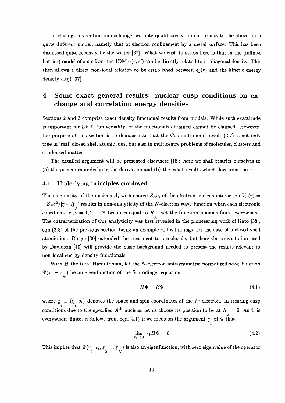In closing this section on exchange, we note qualitatively similar results to the above for a quite different model, namely that of electron confinement by a metal surface. This has been discussed quite recently by the writer [37]. What we wish to stress here is that in the (infinite barrier) model of a surface, the 1DM  $\gamma(r,r')$  can be directly related to its diagonal density. This then allows a direct non-local relation to be established between  $\epsilon_x(r)$  and the kinetic energy density *ts(r)* [37].

# 4 Some exact general results: nuclear cusp conditions on exchange and correlation energy densities

Sections 2 and 3 comprise exact density functional results from models. While such exactitude is important for DFT, 'universality' of the functionals obtained cannot be claimed. However, the purpose of this section is to demonstrate that the Coulomb model result (3.7) is not only true in 'real' closed shell atomic ions, but also in multicentre problems of molecules, clusters and condensed matter.

The detailed argument will be presented elsewhere [18]: here we shall restrict ourselves to (a) the principles underlying the derivation and (b) the exact results which flow from these.

#### **4.1 Underlying principles employed**

The singularity of the nucleus A, with charge  $Z_Ae$ , of the electron-nucleus interaction  $V_A(r)$  =  $-Z_Ae^2/|\underline{r}-\underline{R}|$  | results in non-analyticity of the  $N$ -electron wave function when each electronic coordinate  $r, i = 1, 2...N$  becomes equal to  $R$ , yet the function remains finite everywhere.  *A* The characterization of this analyticity was first revealed in the pioneeering work of Kato [38], eqn.(3.8) of the previous section being an example of his findings, for the case of a closed shell atomic ion. Bingel [39] extended the treatment to a molecule, but here the presentation used by Davidson [40] will provide the basic background needed to present the results relevant to non-local energy density functionals.

With *H* the total Hamiltonian, let the *N*-electron antisymmetric normalized wave function  $\Psi(x - x)$  be an eigenfunction of the Schrödinger equation  $\tilde{a}$   $\tilde{a}$   $\tilde{N}$ 

$$
H\Psi = E\Psi \tag{4.1}
$$

where  $x_i \equiv \{r_i, s_i\}$  denotes the space and spin coordinates of the i<sup>th</sup> electron. In treating cusp conditions due to the specified  $A<sup>th</sup>$  nucleus, let us choose its position to be at  $\underline{R} = 0$ . As  $\Psi$  is everywhere finite, it follows from eqn.(4.1) if we focus on the argument  $\frac{A}{l}$  of  $\Psi$  that

$$
\lim_{r_1 \to 0} r_1 H \Psi = 0 \tag{4.2}
$$

This implies that  $\Psi(r_-,s_i,\underline{x}_- \dots \underline{x}_-)$  is also an eigenfunction, with zero eigenvalue of the operator **"l 2** *N*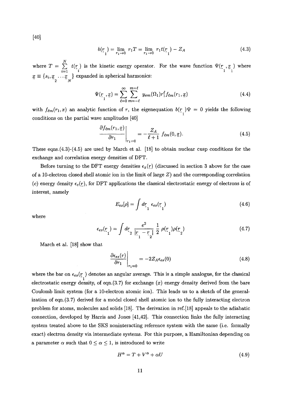[40]

$$
b(r1) = \lim_{r_1 \to 0} r_1 T = \lim_{r_1 \to 0} r_1 t(r1) - Z_A
$$
 (4.3)

where  $T = \sum_{i=1}^{N} t(r_i)$  is the kinetic energy operator. For the wave function  $\Psi(r_i, x_j)$  where  $i=1$  **"**  $i$   $1 \t 1$  $x \equiv \{s_i, x \ldots x \}$  expanded in spherical harmonics: **~2** *~N*

$$
\Psi(r_1, \underline{x}) = \sum_{\ell=0}^{\infty} \sum_{m=-\ell}^{m=\ell} y_{em}(\Omega_1) r_1^{\ell} f_{\ell m}(r_1, \underline{x}) \tag{4.4}
$$

with  $f_{\ell m}(r_1,x)$  an analytic function of r, the eigenequation  $b(r) \Psi = 0$  yields the following *"i* conditions on the partial wave amplitudes [40]

$$
\left. \frac{\partial f_{\ell m}(r_1, \underline{x})}{\partial r_1} \right|_{r_1=0} = -\frac{Z_A}{\ell+1} f_{\ell m}(0, \underline{x}). \tag{4.5}
$$

These eqns. $(4.3)-(4.5)$  are used by March et al. [18] to obtain nuclear cusp conditions for the exchange and correlation energy densities of DFT.

Before turning to the DFT energy densities  $\epsilon_x(r)$  (discussed in section 3 above for the case of a 10-electron closed shell atomic ion in the limit of large *Z)* and the corresponding correlation (c) energy density  $\epsilon_c(r)$ , for DFT applications the classical electrostatic energy of electrons is of interest, namely

$$
E_{es}[\rho] = \int dr_1 \epsilon_{es}(r_1)
$$
\n(4.6)

where

$$
\epsilon_{es}(\underline{r}_1) = \int d\underline{r}_2 \; \frac{e^2}{|\underline{r}_1 - \underline{r}_2|} \; \frac{1}{2} \; \rho(\underline{r}_1) \rho(\underline{r}_2) \tag{4.7}
$$

March et al. [18] show that

$$
\left. \frac{\partial \epsilon_{es}(r)}{\partial r_1} \right|_{r_1=0} = -2Z_A \epsilon_{es}(0) \tag{4.8}
$$

where the bar on  $\epsilon_{es}(r)$  denotes an angular average. This is a simple analogue, for the classical electrostatic energy density, of eqn.(3.7) for exchange *(x)* energy density derived from the bare Coulomb limit system (for a 10-electron atomic ion). This leads us to a sketch of the generalization of eqn.(3.7) derived for a model closed shell atomic ion to the fully interacting electron problem for atoms, molecules and solids [18]. The derivation in ref.[18] appeals to the adiabatic connection, developed by Harris and Jones [41,42]. This connection links the fully interacting system treated above to the SKS noninteracting reference system with the same (i.e. formally exact) electron density via intermediate systems. For this purpose, a Hamiltonian depending on a parameter  $\alpha$  such that  $0 \leq \alpha \leq 1$ , is introduced to write

$$
H^{\alpha} = T + V^{\alpha} + \alpha U \tag{4.9}
$$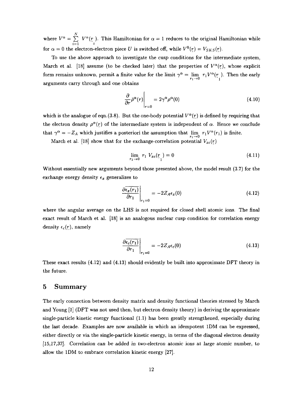where  $V^{\alpha} = \sum_{i=1}^{N} V^{\alpha}(r_i)$ . This Hamiltonian for  $\alpha = 1$  reduces to the original Hamiltonian while for  $\alpha = 0$  the electron-electron piece *U* is switched off, while  $V^0(r) = V_{SKS}(r)$ .

To use the above approach to investigate the cusp conditions for the intermediate system, March et al. [18] assume (to be checked later) that the properties of  $V^{\alpha}(r)$ , whose explicit form remains unknown, permit a finite value for the limit  $\gamma^{\alpha} = \lim_{n \to \infty} r_1 V^{\alpha}(r)$ . Then the early arguments carry through and one obtains

$$
\left. \frac{\partial}{\partial r} \bar{\rho}^{\alpha}(r) \right|_{r=0} = 2\gamma^{\alpha} \rho^{\alpha}(0) \tag{4.10}
$$

which is the analogue of eqn.(3.8). But the one-body potential  $V^{\alpha}(\tau)$  is defined by requiring that the electron density  $\rho^{\alpha}(r)$  of the intermediate system is independent of  $\alpha$ . Hence we conclude that  $\gamma^{\alpha} = -Z_A$  which justifies a posteriori the assumption that  $\lim_{n \to \infty} r_1 V^{\alpha}(r_1)$  is finite.

March et al. [18] show that for the exchange-correlation potential  $V_{xc}(r)$ 

$$
\lim_{r_1 \to 0} r_1 V_{xc}(r_1) = 0 \tag{4.11}
$$

Without essentially new arguments beyond those presented above, the model result (3.7) for the exchange energy density  $\epsilon_x$  generalizes to

$$
\left. \frac{\partial \overline{\epsilon_x(r_1)}}{\partial r_1} \right|_{r_1=0} = -2Z_A \epsilon_x(0) \tag{4.12}
$$

where the angular average on the LHS is not required for closed shell atomic ions. The final exact result of March et al. [18] is an analogous nuclear cusp condition for correlation energy density  $\epsilon_c(r)$ , namely

$$
\left. \frac{\partial \overline{\epsilon_c(r_1)}}{\partial r_1} \right|_{r_1=0} = -2Z_A \epsilon_c(0) \tag{4.13}
$$

These exact results (4.12) and (4.13) should evidently be built into approximate DFT theory in the future.

### 5 Summary

The early connection between density matrix and density functional theories stressed by March and Young [1] (DFT was not used then, but electron density theory) in deriving the approximate single-particle kinetic energy functional (1.1) has been greatly strengthened, especially during the last decade. Examples are now available in which an idempotent 1DM can be expressed, either directly or via the single-particle kinetic energy, in terms of the diagonal electron density [15,17,37]. Correlation can be added in two-electron atomic ions at large atomic number, to allow the 1DM to embrace correlation kinetic energy [27].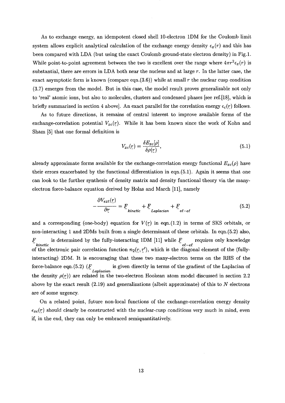As to exchange energy, an idempotent closed shell 10-electron 1DM for the Coulomb limit system allows explicit analytical calculation of the exchange energy density  $\epsilon_x(r)$  and this has been compared with LDA (but using the exact Coulomb ground-state electron density) in Fig.l. While point-to-point agreement between the two is excellent over the range where  $4\pi r^2 \epsilon_x(r)$  is substantial, there are errors in LDA both near the nucleus and at large *r.* In the latter case, the exact asymptotic form is known (compare eqn.(3.6)) while at small  $r$  the nuclear cusp condition (3.7) emerges from the model. But in this case, the model result proves generalizable not only to 'real' atomic ions, but also to molecules, clusters and condensed phases [see ref.[18], which is briefly summarized in section 4 above]. An exact parallel for the correlation energy  $\epsilon_c(r)$  follows.

As to future directions, it remains of central interest to improve available forms of the exchange-correlation potential  $V_{xc}(r)$ . While it has been known since the work of Kohn and Sham [5] that one formal definition is

$$
V_{xc}(r) = \frac{\delta E_{xc}[\rho]}{\delta \rho(r)},\tag{5.1}
$$

already approximate forms available for the exchange-correlation energy functional  $E_{xc}(\rho)$  have their errors exacerbated by the functional differentiation in eqn.(5.1). Again it seems that one can look to the further synthesis of density matrix and density functional theory via the manyelectron force-balance equation derived by Holas and March [11], namely

$$
-\frac{\partial V_{ext}(r)}{\partial r} = F_{kinetic} + F_{Laplacian} + F_{e\ell - e\ell}
$$
\n(5.2)

and a corresponding (one-body) equation for  $V(r)$  in eqn.(1.2) in terms of SKS orbitals, or non-interacting 1 and 2DMs built from a single determinant of these orbitals. In eqn.(5.2) also, *F* is determined by the fully-interacting 1DM [11] while  $\frac{F}{\epsilon_{e^{\ell-e\ell}}}$  requires only knowledge *kinetic el—el* of the electronic pair correlation function *ri2(r,r'),* which is the diagonal element of the (fullyinteracting) 2DM. It is encouraging that these two many-electron terms on the RHS of the force-balance-eqn.(5.2) ( $\frac{1}{2}$  is given directly in terms of the gradient of the Laplacian of the density  $\rho(r)$  are related in the two-electron Hookean atom model discussed in section 2.2 above by the exact result  $(2.19)$  and generalizations (albeit approximate) of this to N electrons are of some urgency.

On a related point, future non-local functions of the exchange-correlation energy density  $\epsilon_{xc}(r)$  should clearly be constructed with the nuclear-cusp conditions very much in mind, even *if, in the end, they can only be embraced semiguantitatively.*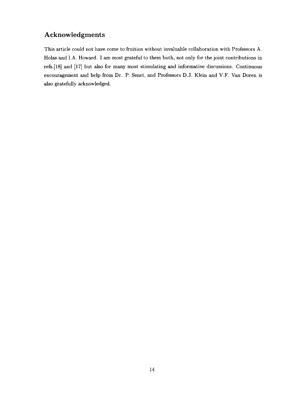# Acknowledgments

This article could not have come to fruition without invaluable collaboration with Professors A. Holas and LA. Howard. I am most grateful to them both, not only for the joint contributions in refs.[18] and [17] but also for many most stimulating and informative discussions. Continuous encouragement and help from Dr. P. Senet, and Professors D.J. Klein and V.F. Van Doren is also gratefully acknowledged.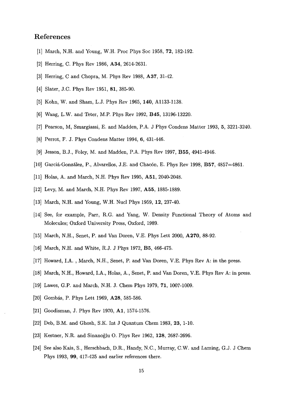## References

- [1] March, N.H. and Young, W.H. Proc Phys Soc 1958, **72,** 182-192.
- [2] Herring, C. Phys Rev 1986, **A34,** 2614-2631.
- [3] Herring, C and Chopra, M. Phys Rev 1988, **A37,** 31-42.
- [4] Slater, J.C. Phys Rev 1951, **81,** 385-90.
- [5] Kohn, W. and Sham, L.J. Phys Rev 1965, 140, A1133-1138.
- [6] Wang, L.W. and Teter, M.P. Phys Rev 1992, B45, 13196-13220.
- [7] Pearson, M, Smargiassi, E. and Madden, P.A. J Phys Condens Matter 1993, 5, 3221-3240.
- [8] Perrot, F. J. Phys Condens Matter 1994, 6, 431-446.
- [9] Jesson, B.J., Foley, M. and Madden, P.A. Phys Rev 1997, **B55,** 4941-4946.
- [10] Garcia-Gonzalez, P., Alvarellos, J.E. and Chacon, E. Phys Rev 1998, **B57,** 4857=4861.
- [11] Holas, A. and March, N.H. Phys Rev 1995, **A51,** 2040-2048.
- [12] Levy, M. and March, N.H. Phys Rev 1997, **A55,** 1885-1889.
- [13] March, N.H. and Young, W.H. Nucl Phys 1959, **12,** 237-40.
- [14] See, for example, Parr, R.G. and Yang, W. Density Functional Theory of Atoms and Molecules; Oxford University Press, Oxford, 1989.
- [15] March, N.H., Senet, P. and Van Doren, V.E. Phys Lett 2000, **A270,** 88-92.
- [16] March, N.H. and White, R.J. J Phys 1972, **B5,** 466-475.
- [17] Howard, LA. , March, N.H., Senet, P. and Van Doren, V.E. Phys Rev A: in the press.
- [18] March, N.H., Howard, I.A., Holas, A., Senet, P. and Van Doren, V.E. Phys Rev A: in press.
- [19] Lawes, G.P. and March, N.H. J. Chem Phys 1979, **71,** 1007-1009.
- [20] Gombas, P. Phys Lett 1969, A28, 585-586.
- [21] Goodisman, J. Phys Rev 1970, A1, 1574-1576.
- [22] Deb, B.M. and Ghosh, S.K. Int J Quantum Chem 1983, **23,** 1-10.
- [23] Kestner, N.R. and Sinanoglu O. Phys Rev 1962, **128,** 2687-2696.
- [24] See also Kais, S., Herschbach, D.R., Handy, N.C., Murray, C.W. and Laming, G.J. J Chem Phys 1993, 99, 417-425 and earlier references there.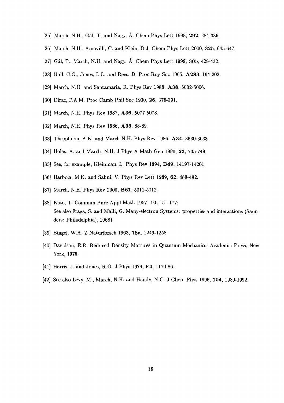- [25] March, N.H., Gal, T. and Nagy, A. Chem Phys Lett 1998, **292,** 384-386.
- [26] March, N.H., Amovilli, C. and Klein, D.J. Chem Phys Lett 2000, **325,** 645-647.
- [27] Gal, T., March, N.H. and Nagy, A. Chem Phys Lett 1999, **305,** 429-432.
- [28] Hall, G.G., Jones, L.L. and Rees, D. Proc Roy Soc 1965, **A283,** 194-202.
- [29] March, N.H. and Santamaria, R. Phys Rev 1988, **A38,** 5002-5006.
- [30] Dirac, P.A.M. Proc Camb Phil Soc 1930, **26,** 376-391.
- [31] March, N.H. Phys Rev 1987, **A36,** 5077-5078.
- [32] March, N.H. Phys Rev 1986, **A33,** 88-89.
- [33] Theophilou, A.K. and March N.H. Phys Rev 1986, **A34,** 3630-3633.
- [34] Holas, A. and March, N.H. J Phys A Math Gen 1990, **23,** 735-749.
- [35] See, for example, Kleinman, L. Phys Rev 1994, **B49,** 14197-14201.
- [36] Harbola, M.K. and Sahni, V. Phys Rev Lett 1989, **62,** 489-492.
- [37] March, N.H. Phys Rev 2000, **B61,** 5011-5012.
- [38] Kato, T. Commun Pure Appl Math 1957, 10, 151-177; See also Fraga, S. and Malli, G. Many-electron Systems: properties and interactions (Saunders: Philadelphia), 1968).
- [39] Bingel, W.A. Z Naturforsch 1963, **18a,** 1249-1258.
- [40] Davidson, E.R. Reduced Density Matrices in Quantum Mechanics; Academic Press, New York, 1976.
- [41] Harris, J. and Jones, R.O. J Phys 1974, F4, 1170-86.
- [42] See also Levy, M., March, N.H. and Handy, N.C. J Chem Phys 1996, **104,** 1989-1992.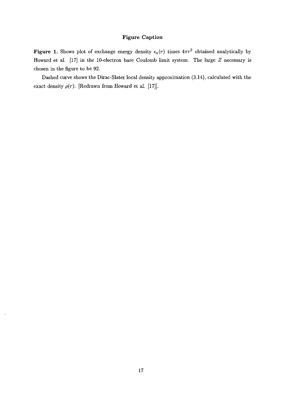### **Figure Caption**

**Figure 1.** Shows plot of exchange energy density  $\epsilon_x(r)$  times  $4\pi r^2$  obtained analytically by Howard et al. [17] in the 10-electron bare Coulomb limit system. The large *Z* necessary is chosen in the figure to be 92.

Dashed curve shows the Dirac-Slater local density approximation (3.14), calculated with the exact density  $\rho(r)$ . [Redrawn from Howard et al. [17]].